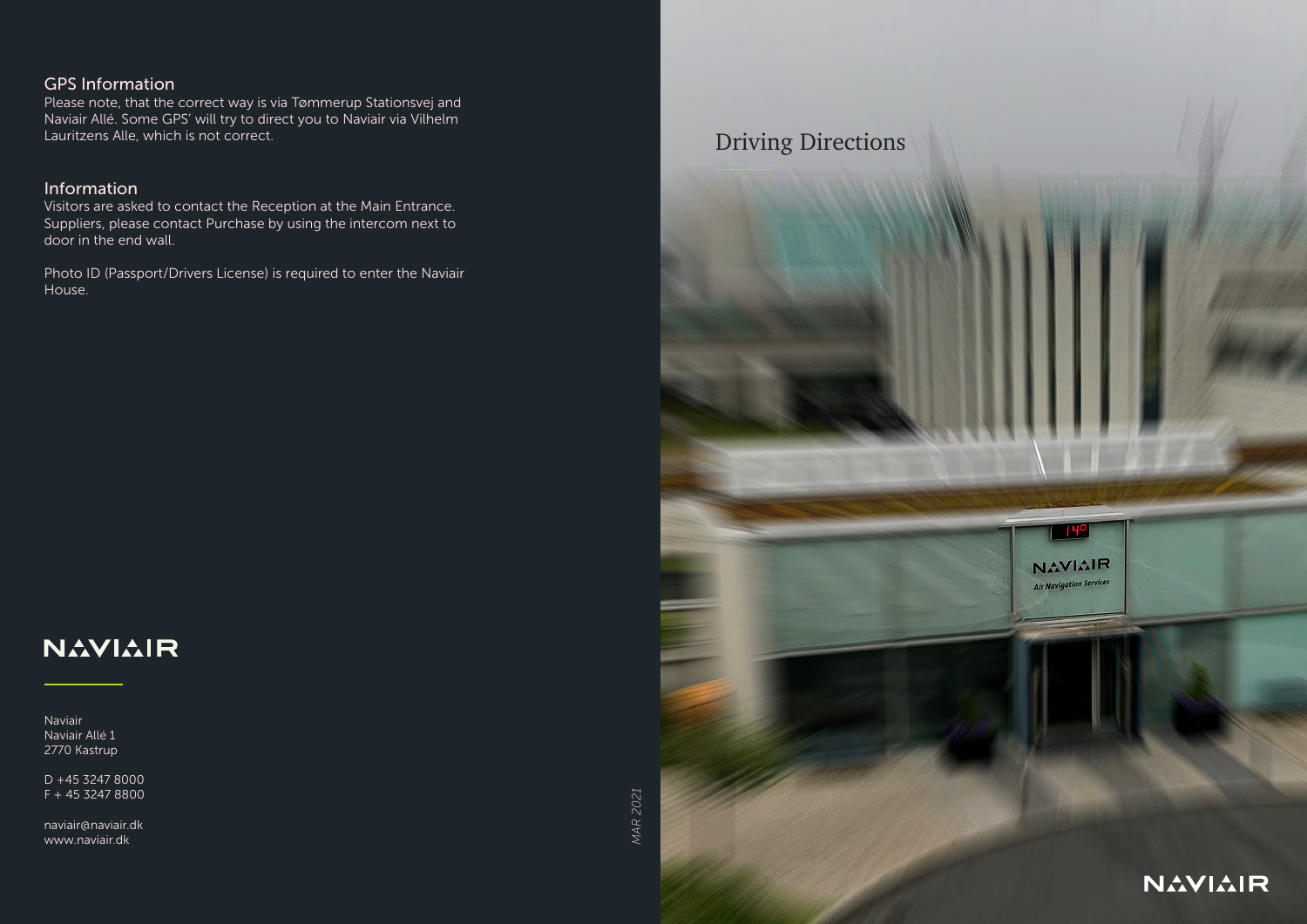### GPS Information

Please note, that the correct way is via Tømmerup Stationsvej and Naviair Allé. Some GPS' will try to direct you to Naviair via Vilhelm Lauritzens Alle, which is not correct.

### Information

Visitors are asked to contact the Reception at the Main Entrance. Suppliers, please contact Purchase by using the intercom next to door in the end wall.

Photo ID (Passport/Drivers License) is required to enter the Naviair House.

# **NAVIAIR**

Naviair Naviair Allé 1 2770 Kastrup

D +45 3247 8000 F + 45 3247 8800

naviair@naviair.dk www.naviair.dk

**MAR 2021** *MAR 2021*